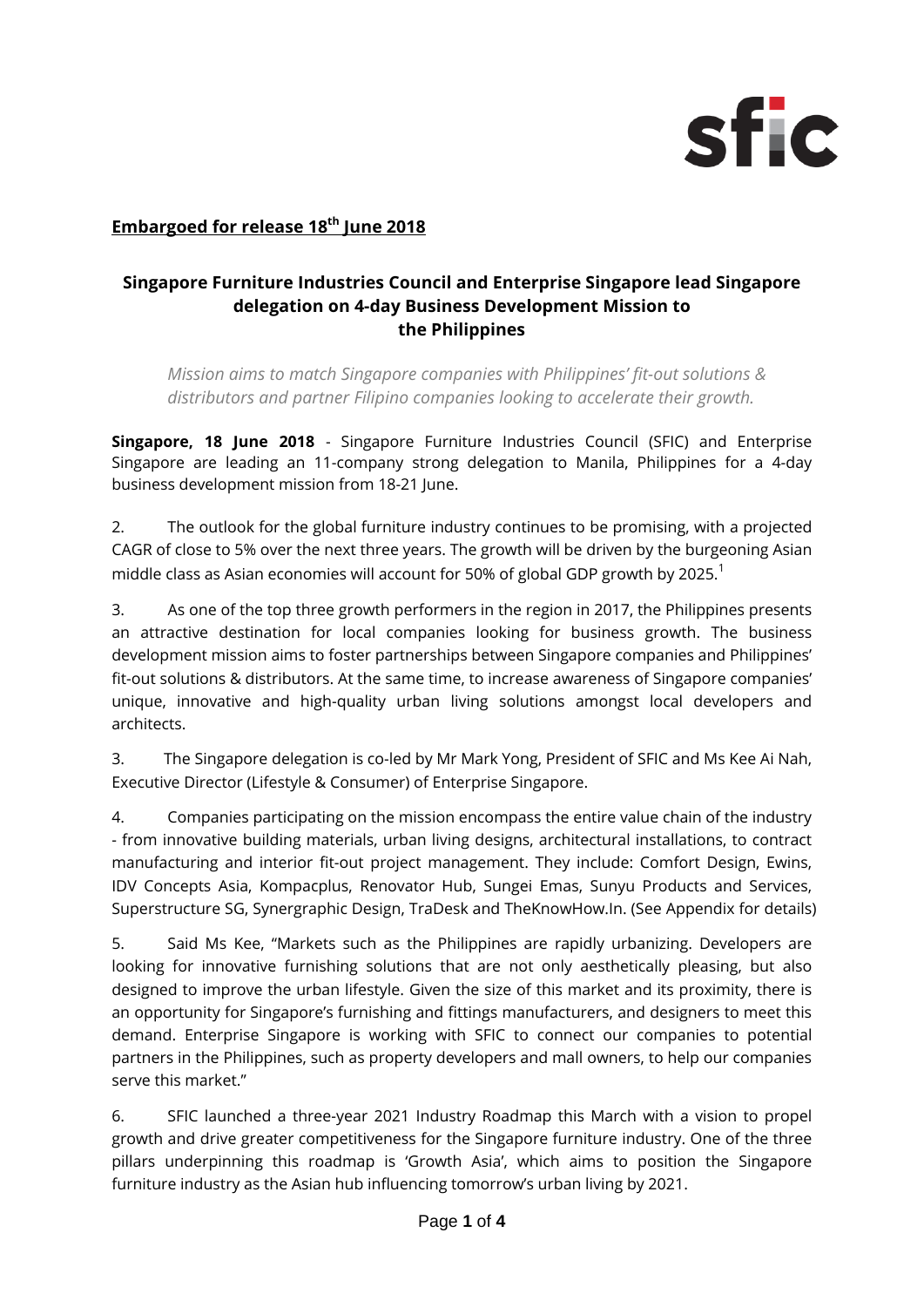

# **Embargoed for release 18th June 2018**

# **Singapore Furniture Industries Council and Enterprise Singapore lead Singapore delegation on 4-day Business Development Mission to the Philippines**

*Mission aims to match Singapore companies with Philippines' fit-out solutions & distributors and partner Filipino companies looking to accelerate their growth.* 

**Singapore, 18 June 2018** - Singapore Furniture Industries Council (SFIC) and Enterprise Singapore are leading an 11-company strong delegation to Manila, Philippines for a 4-day business development mission from 18-21 June.

2. The outlook for the global furniture industry continues to be promising, with a projected CAGR of close to 5% over the next three years. The growth will be driven by the burgeoning Asian middle class as Asian economies will account for 50% of global GDP growth by 2025. $^1$ 

3. As one of the top three growth performers in the region in 2017, the Philippines presents an attractive destination for local companies looking for business growth. The business development mission aims to foster partnerships between Singapore companies and Philippines' fit-out solutions & distributors. At the same time, to increase awareness of Singapore companies' unique, innovative and high-quality urban living solutions amongst local developers and architects.

3. The Singapore delegation is co-led by Mr Mark Yong, President of SFIC and Ms Kee Ai Nah, Executive Director (Lifestyle & Consumer) of Enterprise Singapore.

4. Companies participating on the mission encompass the entire value chain of the industry - from innovative building materials, urban living designs, architectural installations, to contract manufacturing and interior fit-out project management. They include: Comfort Design, Ewins, IDV Concepts Asia, Kompacplus, Renovator Hub, Sungei Emas, Sunyu Products and Services, Superstructure SG, Synergraphic Design, TraDesk and TheKnowHow.In. (See Appendix for details)

5. Said Ms Kee, "Markets such as the Philippines are rapidly urbanizing. Developers are looking for innovative furnishing solutions that are not only aesthetically pleasing, but also designed to improve the urban lifestyle. Given the size of this market and its proximity, there is an opportunity for Singapore's furnishing and fittings manufacturers, and designers to meet this demand. Enterprise Singapore is working with SFIC to connect our companies to potential partners in the Philippines, such as property developers and mall owners, to help our companies serve this market."

6. SFIC launched a three-year 2021 Industry Roadmap this March with a vision to propel growth and drive greater competitiveness for the Singapore furniture industry. One of the three pillars underpinning this roadmap is 'Growth Asia', which aims to position the Singapore furniture industry as the Asian hub influencing tomorrow's urban living by 2021.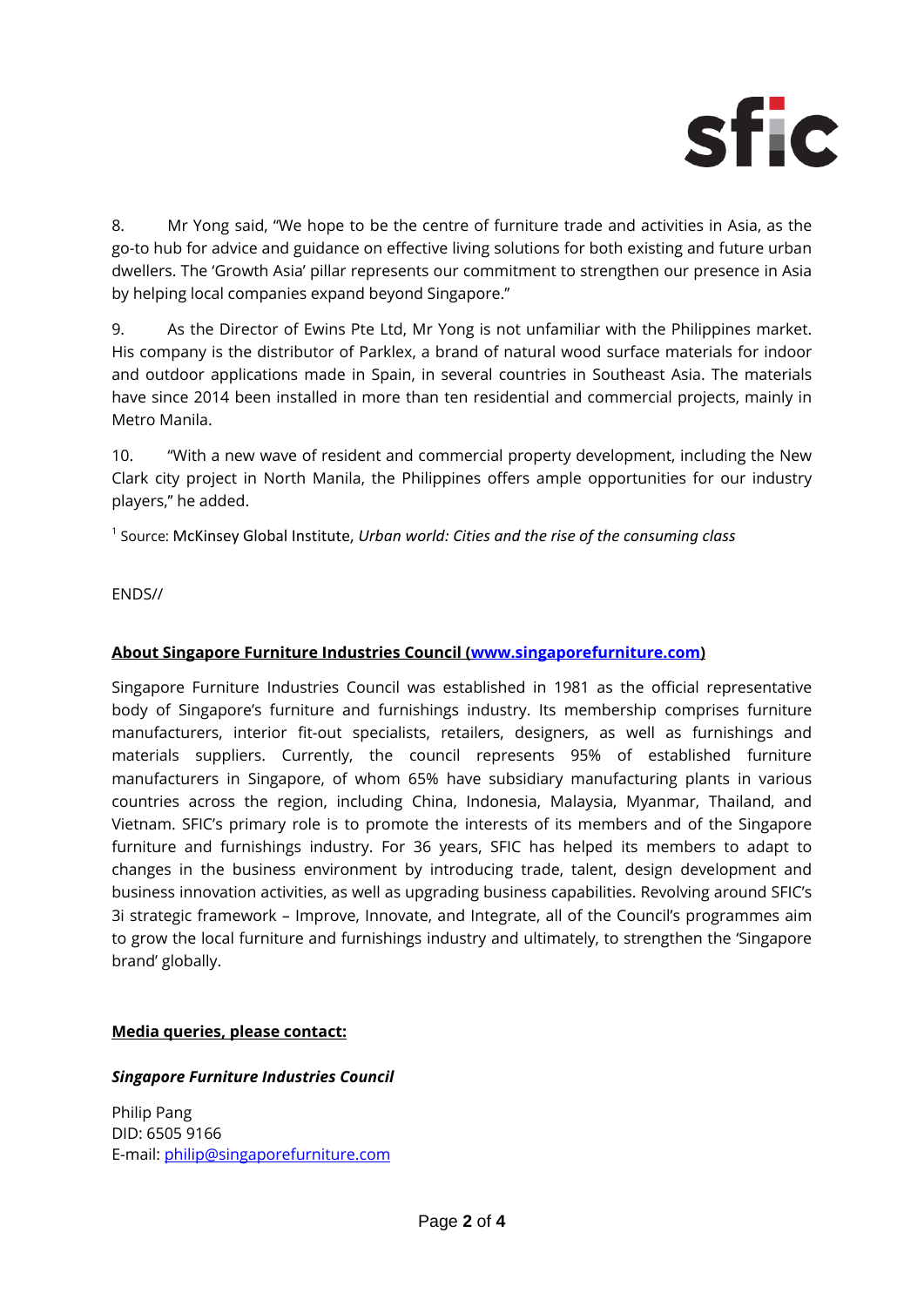

8. Mr Yong said, "We hope to be the centre of furniture trade and activities in Asia, as the go-to hub for advice and guidance on effective living solutions for both existing and future urban dwellers. The 'Growth Asia' pillar represents our commitment to strengthen our presence in Asia by helping local companies expand beyond Singapore.''

9. As the Director of Ewins Pte Ltd, Mr Yong is not unfamiliar with the Philippines market. His company is the distributor of Parklex, a brand of natural wood surface materials for indoor and outdoor applications made in Spain, in several countries in Southeast Asia. The materials have since 2014 been installed in more than ten residential and commercial projects, mainly in Metro Manila.

10. "With a new wave of resident and commercial property development, including the New Clark city project in North Manila, the Philippines offers ample opportunities for our industry players,'' he added.

1 Source: McKinsey Global Institute, *Urban world: Cities and the rise of the consuming class*

ENDS//

# **About Singapore Furniture Industries Council (www.singaporefurniture.com)**

Singapore Furniture Industries Council was established in 1981 as the official representative body of Singapore's furniture and furnishings industry. Its membership comprises furniture manufacturers, interior fit-out specialists, retailers, designers, as well as furnishings and materials suppliers. Currently, the council represents 95% of established furniture manufacturers in Singapore, of whom 65% have subsidiary manufacturing plants in various countries across the region, including China, Indonesia, Malaysia, Myanmar, Thailand, and Vietnam. SFIC's primary role is to promote the interests of its members and of the Singapore furniture and furnishings industry. For 36 years, SFIC has helped its members to adapt to changes in the business environment by introducing trade, talent, design development and business innovation activities, as well as upgrading business capabilities. Revolving around SFIC's 3i strategic framework – Improve, Innovate, and Integrate, all of the Council's programmes aim to grow the local furniture and furnishings industry and ultimately, to strengthen the 'Singapore brand' globally.

# **Media queries, please contact:**

# *Singapore Furniture Industries Council*

Philip Pang DID: 6505 9166 E-mail: philip@singaporefurniture.com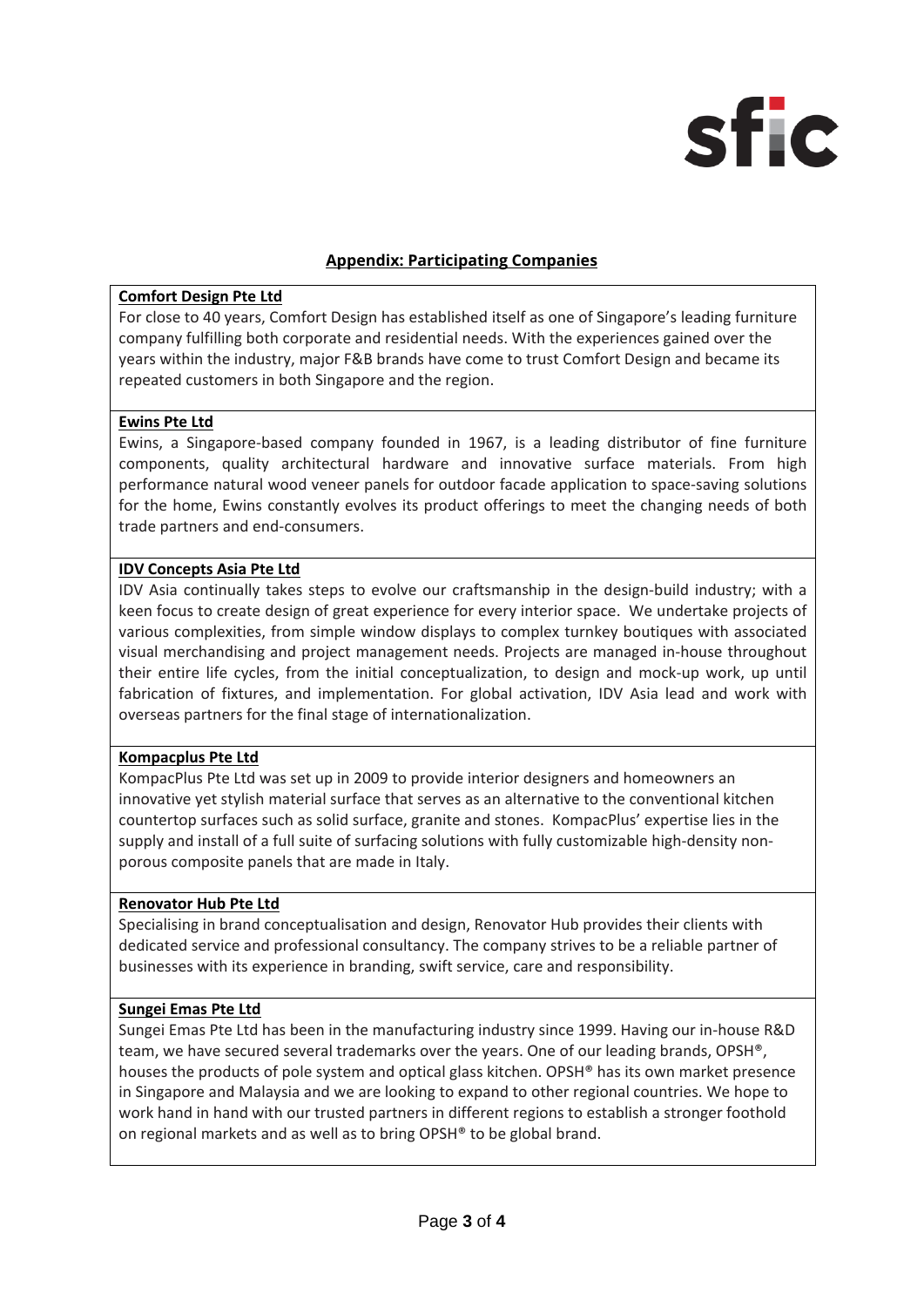

## **Appendix: Participating Companies**

## **Comfort Design Pte Ltd**

For close to 40 years, Comfort Design has established itself as one of Singapore's leading furniture company fulfilling both corporate and residential needs. With the experiences gained over the years within the industry, major F&B brands have come to trust Comfort Design and became its repeated customers in both Singapore and the region.

## **Ewins Pte Ltd**

Ewins, a Singapore‐based company founded in 1967, is a leading distributor of fine furniture components, quality architectural hardware and innovative surface materials. From high performance natural wood veneer panels for outdoor facade application to space‐saving solutions for the home, Ewins constantly evolves its product offerings to meet the changing needs of both trade partners and end‐consumers.

#### **IDV Concepts Asia Pte Ltd**

IDV Asia continually takes steps to evolve our craftsmanship in the design-build industry; with a keen focus to create design of great experience for every interior space. We undertake projects of various complexities, from simple window displays to complex turnkey boutiques with associated visual merchandising and project management needs. Projects are managed in‐house throughout their entire life cycles, from the initial conceptualization, to design and mock‐up work, up until fabrication of fixtures, and implementation. For global activation, IDV Asia lead and work with overseas partners for the final stage of internationalization.

#### **Kompacplus Pte Ltd**

KompacPlus Pte Ltd was set up in 2009 to provide interior designers and homeowners an innovative yet stylish material surface that serves as an alternative to the conventional kitchen countertop surfaces such as solid surface, granite and stones. KompacPlus' expertise lies in the supply and install of a full suite of surfacing solutions with fully customizable high-density nonporous composite panels that are made in Italy.

#### **Renovator Hub Pte Ltd**

Specialising in brand conceptualisation and design, Renovator Hub provides their clients with dedicated service and professional consultancy. The company strives to be a reliable partner of businesses with its experience in branding, swift service, care and responsibility.

#### **Sungei Emas Pte Ltd**

Sungei Emas Pte Ltd has been in the manufacturing industry since 1999. Having our in‐house R&D team, we have secured several trademarks over the years. One of our leading brands, OPSH®, houses the products of pole system and optical glass kitchen. OPSH® has its own market presence in Singapore and Malaysia and we are looking to expand to other regional countries. We hope to work hand in hand with our trusted partners in different regions to establish a stronger foothold on regional markets and as well as to bring OPSH® to be global brand.